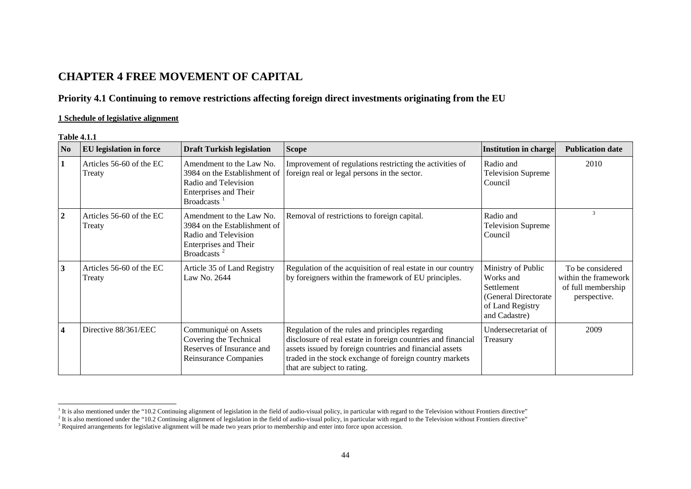# **CHAPTER 4 FREE MOVEMENT OF CAPITAL**

## **Priority 4.1 Continuing to remove restrictions affecting foreign direct investments originating from the EU**

## **1 Schedule of legislative alignment**

#### **Table 4.1.1**

| N <sub>0</sub>          | <b>EU</b> legislation in force     | <b>Draft Turkish legislation</b>                                                                                                     | <b>Scope</b>                                                                                                                                                                                                                                                          | Institution in charge                                                                                       | <b>Publication date</b>                                                        |
|-------------------------|------------------------------------|--------------------------------------------------------------------------------------------------------------------------------------|-----------------------------------------------------------------------------------------------------------------------------------------------------------------------------------------------------------------------------------------------------------------------|-------------------------------------------------------------------------------------------------------------|--------------------------------------------------------------------------------|
| 1                       | Articles 56-60 of the EC<br>Treaty | Amendment to the Law No.<br>3984 on the Establishment of<br>Radio and Television<br>Enterprises and Their<br>Broadcasts <sup>1</sup> | Improvement of regulations restricting the activities of<br>foreign real or legal persons in the sector.                                                                                                                                                              | Radio and<br><b>Television Supreme</b><br>Council                                                           | 2010                                                                           |
| $\overline{2}$          | Articles 56-60 of the EC<br>Treaty | Amendment to the Law No.<br>3984 on the Establishment of<br>Radio and Television<br>Enterprises and Their<br>Broadcasts <sup>2</sup> | Removal of restrictions to foreign capital.                                                                                                                                                                                                                           | Radio and<br><b>Television Supreme</b><br>Council                                                           | 3                                                                              |
| $\mathbf{3}$            | Articles 56-60 of the EC<br>Treaty | Article 35 of Land Registry<br>Law No. 2644                                                                                          | Regulation of the acquisition of real estate in our country<br>by foreigners within the framework of EU principles.                                                                                                                                                   | Ministry of Public<br>Works and<br>Settlement<br>(General Directorate)<br>of Land Registry<br>and Cadastre) | To be considered<br>within the framework<br>of full membership<br>perspective. |
| $\overline{\mathbf{4}}$ | Directive 88/361/EEC               | Communiqué on Assets<br>Covering the Technical<br>Reserves of Insurance and<br>Reinsurance Companies                                 | Regulation of the rules and principles regarding<br>disclosure of real estate in foreign countries and financial<br>assets issued by foreign countries and financial assets<br>traded in the stock exchange of foreign country markets<br>that are subject to rating. | Undersecretariat of<br>Treasury                                                                             | 2009                                                                           |

<span id="page-0-0"></span> $1$ <sup>1</sup> It is also mentioned under the "10.2 Continuing alignment of legislation in the field of audio-visual policy, in particular with regard to the Television without Frontiers directive"

<span id="page-0-1"></span> $^2$  It is also mentioned under the "10.2 Continuing alignment of legislation in the field of audio-visual policy, in particular with regard to the Television without Frontiers directive"

<sup>&</sup>lt;sup>3</sup> Required arrangements for legislative alignment will be made two years prior to membership and enter into force upon accession.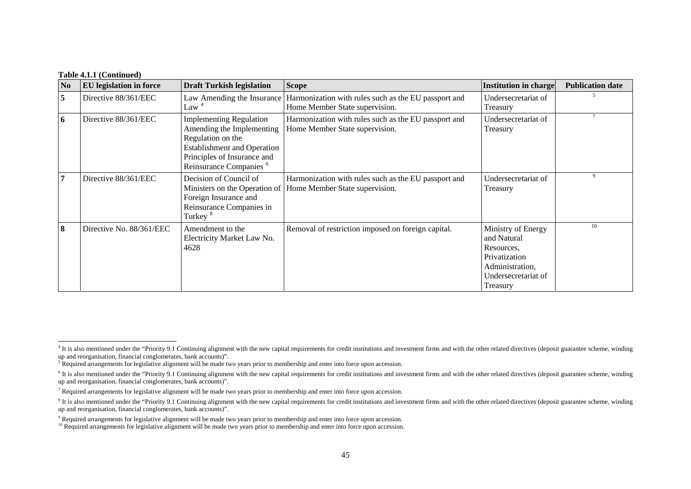| N <sub>0</sub> | <b>EU</b> legislation in force | <b>Draft Turkish legislation</b>                                                                                                                                                            | <b>Scope</b>                                                                           | <b>Institution in charge</b>                                                                                           | <b>Publication date</b> |
|----------------|--------------------------------|---------------------------------------------------------------------------------------------------------------------------------------------------------------------------------------------|----------------------------------------------------------------------------------------|------------------------------------------------------------------------------------------------------------------------|-------------------------|
| 5              | Directive 88/361/EEC           | Law Amending the Insurance<br>Law <sup>4</sup>                                                                                                                                              | Harmonization with rules such as the EU passport and<br>Home Member State supervision. | Undersecretariat of<br>Treasury                                                                                        |                         |
| 6              | Directive 88/361/EEC           | <b>Implementing Regulation</b><br>Amending the Implementing<br>Regulation on the<br><b>Establishment and Operation</b><br>Principles of Insurance and<br>Reinsurance Companies <sup>6</sup> | Harmonization with rules such as the EU passport and<br>Home Member State supervision. | Undersecretariat of<br>Treasury                                                                                        |                         |
| 7              | Directive 88/361/EEC           | Decision of Council of<br>Ministers on the Operation of<br>Foreign Insurance and<br>Reinsurance Companies in<br>Turkey <sup>8</sup>                                                         | Harmonization with rules such as the EU passport and<br>Home Member State supervision. | Undersecretariat of<br>Treasury                                                                                        | 9                       |
| 8              | Directive No. 88/361/EEC       | Amendment to the<br>Electricity Market Law No.<br>4628                                                                                                                                      | Removal of restriction imposed on foreign capital.                                     | Ministry of Energy<br>and Natural<br>Resources,<br>Privatization<br>Administration,<br>Undersecretariat of<br>Treasury | 10                      |

<span id="page-1-0"></span><sup>&</sup>lt;sup>4</sup> It is also mentioned under the "Priority 9.1 Continuing alignment with the new capital requirements for credit institutions and investment firms and with the other related directives (deposit guarantee scheme, winding up and reorganisation, financial conglomerates, bank accounts)".

<sup>&</sup>lt;sup>5</sup> Required arrangements for legislative alignment will be made two years prior to membership and enter into force upon accession.

<span id="page-1-1"></span> $\epsilon$  It is also mentioned under the "Priority 9.1 Continuing alignment with the new capital requirements for credit institutions and investment firms and with the other related directives (deposit guarantee scheme, windin up and reorganisation, financial conglomerates, bank accounts)".

 $<sup>7</sup>$  Required arrangements for legislative alignment will be made two years prior to membership and enter into force upon accession.</sup>

<span id="page-1-2"></span><sup>&</sup>lt;sup>8</sup> It is also mentioned under the "Priority 9.1 Continuing alignment with the new capital requirements for credit institutions and investment firms and with the other related directives (deposit guarantee scheme, winding up and reorganisation, financial conglomerates, bank accounts)".

<sup>&</sup>lt;sup>9</sup> Required arrangements for legislative alignment will be made two years prior to membership and enter into force upon accession.

<span id="page-1-3"></span><sup>&</sup>lt;sup>10</sup> Required arrangements for legislative alignment will be made two years prior to membership and enter into force upon accession.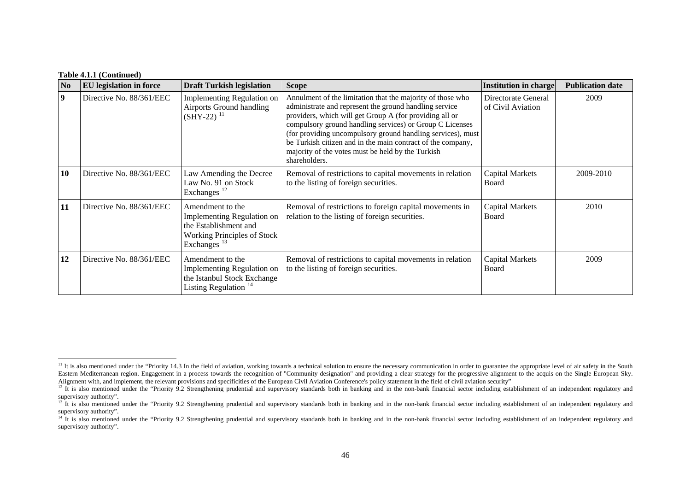| N <sub>0</sub>   | <b>EU</b> legislation in force | <b>Draft Turkish legislation</b>                                                                                                         | <b>Scope</b>                                                                                                                                                                                                                                                                                                                                                                                                                                    | <b>Institution in charge</b>             | <b>Publication date</b> |
|------------------|--------------------------------|------------------------------------------------------------------------------------------------------------------------------------------|-------------------------------------------------------------------------------------------------------------------------------------------------------------------------------------------------------------------------------------------------------------------------------------------------------------------------------------------------------------------------------------------------------------------------------------------------|------------------------------------------|-------------------------|
| $\boldsymbol{9}$ | Directive No. 88/361/EEC       | Implementing Regulation on<br>Airports Ground handling<br>$(SHY-22)^{11}$                                                                | Annulment of the limitation that the majority of those who<br>administrate and represent the ground handling service<br>providers, which will get Group A (for providing all or<br>compulsory ground handling services) or Group C Licenses<br>(for providing uncompulsory ground handling services), must<br>be Turkish citizen and in the main contract of the company,<br>majority of the votes must be held by the Turkish<br>shareholders. | Directorate General<br>of Civil Aviation | 2009                    |
| 10               | Directive No. 88/361/EEC       | Law Amending the Decree<br>Law No. 91 on Stock<br>Exchanges $12$                                                                         | Removal of restrictions to capital movements in relation<br>to the listing of foreign securities.                                                                                                                                                                                                                                                                                                                                               | <b>Capital Markets</b><br>Board          | 2009-2010               |
| 11               | Directive No. 88/361/EEC       | Amendment to the<br>Implementing Regulation on<br>the Establishment and<br><b>Working Principles of Stock</b><br>Exchanges <sup>13</sup> | Removal of restrictions to foreign capital movements in<br>relation to the listing of foreign securities.                                                                                                                                                                                                                                                                                                                                       | <b>Capital Markets</b><br>Board          | 2010                    |
| 12               | Directive No. 88/361/EEC       | Amendment to the<br><b>Implementing Regulation on</b><br>the Istanbul Stock Exchange<br>Listing Regulation $14$                          | Removal of restrictions to capital movements in relation<br>to the listing of foreign securities.                                                                                                                                                                                                                                                                                                                                               | Capital Markets<br>Board                 | 2009                    |

<span id="page-2-0"></span> $11$  It is also mentioned under the "Priority 14.3 In the field of aviation, working towards a technical solution to ensure the necessary communication in order to guarantee the appropriate level of air safety in the Sout Eastern Mediterranean region. Engagement in a process towards the recognition of "Community designation" and providing a clear strategy for the progressive alignment to the acquis on the Single European Sky. Alignment with, and implement, the relevant provisions and specificities of the European Civil Aviation Conference's policy statement in the field of civil aviation security"

<span id="page-2-1"></span><sup>&</sup>lt;sup>12</sup> It is also mentioned under the "Priority 9.2 Strengthening prudential and supervisory standards both in banking and in the non-bank financial sector including establishment of an independent regulatory and supervisory authority".

<span id="page-2-2"></span><sup>&</sup>lt;sup>13</sup> It is also mentioned under the "Priority 9.2 Strengthening prudential and supervisory standards both in banking and in the non-bank financial sector including establishment of an independent regulatory and supervisory authority".

<span id="page-2-3"></span><sup>&</sup>lt;sup>14</sup> It is also mentioned under the "Priority 9.2 Strengthening prudential and supervisory standards both in banking and in the non-bank financial sector including establishment of an independent regulatory and supervisory authority".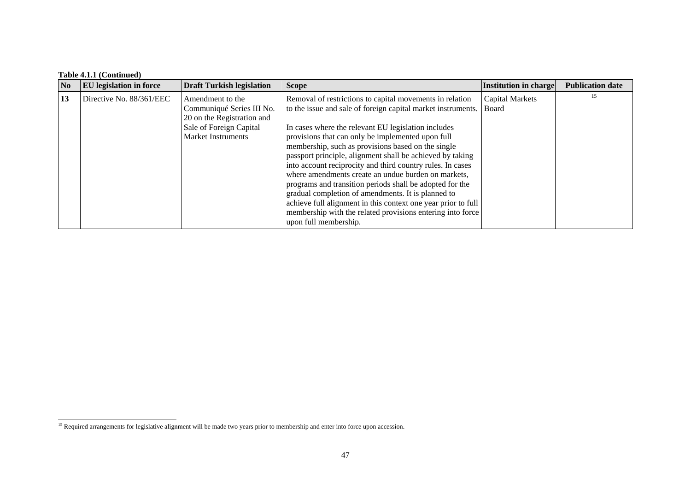| No | EU legislation in force  | <b>Draft Turkish legislation</b>                                                                                                    | <b>Scope</b>                                                                                                                                                                                                                                                                                                                                                                                                                                                                                                                                                                                                                                                                                                                                           | <b>Institution in charge</b>    | <b>Publication date</b> |
|----|--------------------------|-------------------------------------------------------------------------------------------------------------------------------------|--------------------------------------------------------------------------------------------------------------------------------------------------------------------------------------------------------------------------------------------------------------------------------------------------------------------------------------------------------------------------------------------------------------------------------------------------------------------------------------------------------------------------------------------------------------------------------------------------------------------------------------------------------------------------------------------------------------------------------------------------------|---------------------------------|-------------------------|
| 13 | Directive No. 88/361/EEC | Amendment to the<br>Communiqué Series III No.<br>20 on the Registration and<br>Sale of Foreign Capital<br><b>Market Instruments</b> | Removal of restrictions to capital movements in relation<br>to the issue and sale of foreign capital market instruments.<br>In cases where the relevant EU legislation includes<br>provisions that can only be implemented upon full<br>membership, such as provisions based on the single<br>passport principle, alignment shall be achieved by taking<br>into account reciprocity and third country rules. In cases<br>where amendments create an undue burden on markets,<br>programs and transition periods shall be adopted for the<br>gradual completion of amendments. It is planned to<br>achieve full alignment in this context one year prior to full<br>membership with the related provisions entering into force<br>upon full membership. | <b>Capital Markets</b><br>Board | 15                      |

<span id="page-3-0"></span><sup>&</sup>lt;sup>15</sup> Required arrangements for legislative alignment will be made two years prior to membership and enter into force upon accession.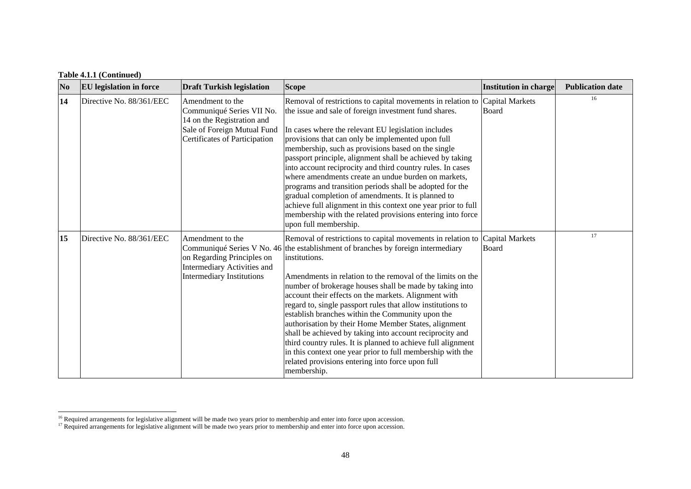| N <sub>0</sub> | <b>EU</b> legislation in force | <b>Draft Turkish legislation</b>                                                                                                            | <b>Scope</b>                                                                                                                                                                                                                                                                                                                                                                                                                                                                                                                                                                                                                                                                                                                                                                              | <b>Institution in charge</b>    | <b>Publication date</b> |
|----------------|--------------------------------|---------------------------------------------------------------------------------------------------------------------------------------------|-------------------------------------------------------------------------------------------------------------------------------------------------------------------------------------------------------------------------------------------------------------------------------------------------------------------------------------------------------------------------------------------------------------------------------------------------------------------------------------------------------------------------------------------------------------------------------------------------------------------------------------------------------------------------------------------------------------------------------------------------------------------------------------------|---------------------------------|-------------------------|
| 14             | Directive No. 88/361/EEC       | Amendment to the<br>Communiqué Series VII No.<br>14 on the Registration and<br>Sale of Foreign Mutual Fund<br>Certificates of Participation | Removal of restrictions to capital movements in relation to<br>the issue and sale of foreign investment fund shares.<br>In cases where the relevant EU legislation includes<br>provisions that can only be implemented upon full<br>membership, such as provisions based on the single<br>passport principle, alignment shall be achieved by taking<br>into account reciprocity and third country rules. In cases<br>where amendments create an undue burden on markets,<br>programs and transition periods shall be adopted for the<br>gradual completion of amendments. It is planned to<br>achieve full alignment in this context one year prior to full<br>membership with the related provisions entering into force<br>upon full membership.                                        | Capital Markets<br><b>Board</b> | 16                      |
| 15             | Directive No. 88/361/EEC       | Amendment to the<br>on Regarding Principles on<br><b>Intermediary Activities and</b><br><b>Intermediary Institutions</b>                    | Removal of restrictions to capital movements in relation to<br>Communiqué Series V No. 46 the establishment of branches by foreign intermediary<br>institutions.<br>Amendments in relation to the removal of the limits on the<br>number of brokerage houses shall be made by taking into<br>account their effects on the markets. Alignment with<br>regard to, single passport rules that allow institutions to<br>establish branches within the Community upon the<br>authorisation by their Home Member States, alignment<br>shall be achieved by taking into account reciprocity and<br>third country rules. It is planned to achieve full alignment<br>in this context one year prior to full membership with the<br>related provisions entering into force upon full<br>membership. | Capital Markets<br>Board        | 17                      |

<span id="page-4-0"></span> $16$  Required arrangements for legislative alignment will be made two years prior to membership and enter into force upon accession.

<span id="page-4-1"></span><sup>&</sup>lt;sup>17</sup> Required arrangements for legislative alignment will be made two years prior to membership and enter into force upon accession.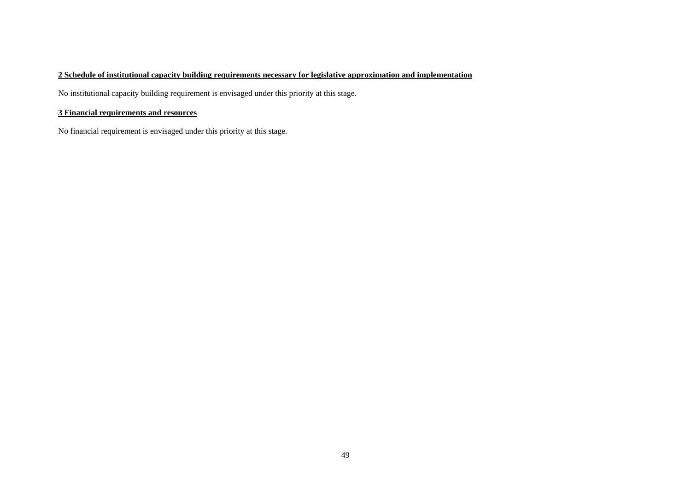### **2 Schedule of institutional capacity building requirements necessary for legislative approximation and implementation**

No institutional capacity building requirement is envisaged under this priority at this stage.

#### **3 Financial requirements and resources**

No financial requirement is envisaged under this priority at this stage.